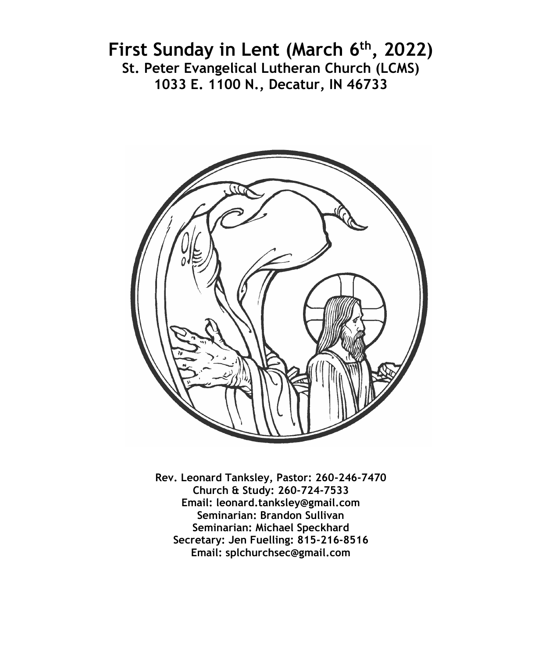# **First Sunday in Lent (March 6th, 2022) St. Peter Evangelical Lutheran Church (LCMS) 1033 E. 1100 N., Decatur, IN 46733**



**Rev. Leonard Tanksley, Pastor: 260-246-7470 Church & Study: 260-724-7533 Email: leonard.tanksley@gmail.com Seminarian: Brandon Sullivan Seminarian: Michael Speckhard Secretary: Jen Fuelling: 815-216-8516 Email: splchurchsec@gmail.com**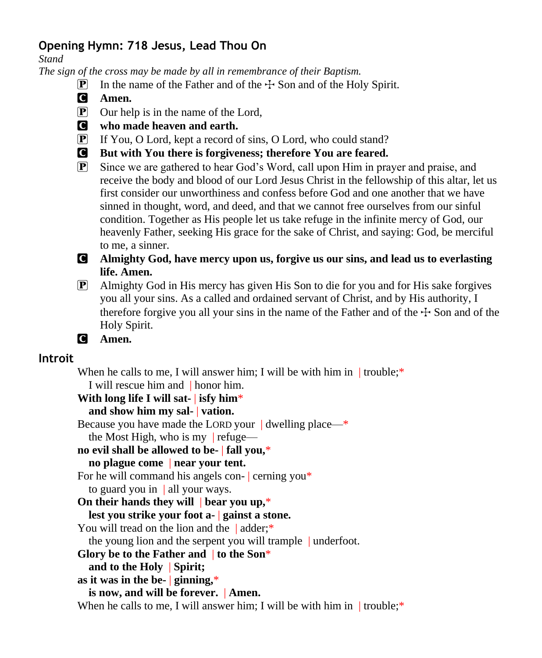## **Opening Hymn: 718 Jesus, Lead Thou On**

*Stand*

*The sign of the cross may be made by all in remembrance of their Baptism.*

- **P** In the name of the Father and of the  $\pm$  Son and of the Holy Spirit.
- C **Amen.**
- P Our help is in the name of the Lord,
- C **who made heaven and earth.**
- P If You, O Lord, kept a record of sins, O Lord, who could stand?
- C **But with You there is forgiveness; therefore You are feared.**
- P Since we are gathered to hear God's Word, call upon Him in prayer and praise, and receive the body and blood of our Lord Jesus Christ in the fellowship of this altar, let us first consider our unworthiness and confess before God and one another that we have sinned in thought, word, and deed, and that we cannot free ourselves from our sinful condition. Together as His people let us take refuge in the infinite mercy of God, our heavenly Father, seeking His grace for the sake of Christ, and saying: God, be merciful to me, a sinner.
- C **Almighty God, have mercy upon us, forgive us our sins, and lead us to everlasting life. Amen.**
- P Almighty God in His mercy has given His Son to die for you and for His sake forgives you all your sins. As a called and ordained servant of Christ, and by His authority, I therefore forgive you all your sins in the name of the Father and of the  $\pm$  Son and of the Holy Spirit.
- C **Amen.**

## **Introit**

When he calls to me, I will answer him; I will be with him in  $|$  trouble;<sup>\*</sup>

I will rescue him and | honor him.

## **With long life I will sat-** | **isfy him**\*

## **and show him my sal-** | **vation.**

Because you have made the LORD your | dwelling place—\* the Most High, who is my  $|$  refuge—

**no evil shall be allowed to be-** | **fall you,**\*

# **no plague come** | **near your tent.**

For he will command his angels con- | cerning you\*

to guard you in  $\parallel$  all your ways.

## **On their hands they will** | **bear you up,**\*

#### **lest you strike your foot a-** | **gainst a stone.**

You will tread on the lion and the |adder:\*

the young lion and the serpent you will trample | underfoot.

**Glory be to the Father and** | **to the Son**\*

**and to the Holy** | **Spirit;**

**as it was in the be-** | **ginning,**\*

**is now, and will be forever.** | **Amen.**

When he calls to me, I will answer him; I will be with him in  $|$  trouble;<sup>\*</sup>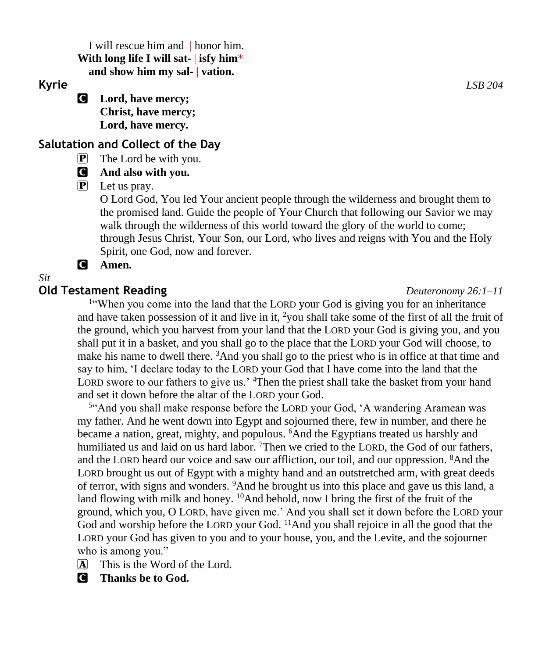I will rescue him and | honor him. **With long life I will sat-** | **isfy him**\* **and show him my sal-** | **vation.**

C **Lord, have mercy; Christ, have mercy; Lord, have mercy.**

## **Salutation and Collect of the Day**

P The Lord be with you.

### C **And also with you.**

P Let us pray.

O Lord God, You led Your ancient people through the wilderness and brought them to the promised land. Guide the people of Your Church that following our Savior we may walk through the wilderness of this world toward the glory of the world to come; through Jesus Christ, Your Son, our Lord, who lives and reigns with You and the Holy Spirit, one God, now and forever.

#### C **Amen.**

#### *Sit*

#### **Old Testament Reading** *Deuteronomy 26:1–11*

<sup>1"</sup>When you come into the land that the LORD your God is giving you for an inheritance and have taken possession of it and live in it,  $\frac{2}{10}$  shall take some of the first of all the fruit of the ground, which you harvest from your land that the LORD your God is giving you, and you shall put it in a basket, and you shall go to the place that the LORD your God will choose, to make his name to dwell there. <sup>3</sup>And you shall go to the priest who is in office at that time and say to him, 'I declare today to the LORD your God that I have come into the land that the LORD swore to our fathers to give us.' <sup>4</sup>Then the priest shall take the basket from your hand and set it down before the altar of the LORD your God.

<sup>5"</sup>And you shall make response before the LORD your God, 'A wandering Aramean was my father. And he went down into Egypt and sojourned there, few in number, and there he became a nation, great, mighty, and populous. <sup>6</sup>And the Egyptians treated us harshly and humiliated us and laid on us hard labor. <sup>7</sup>Then we cried to the LORD, the God of our fathers, and the LORD heard our voice and saw our affliction, our toil, and our oppression. <sup>8</sup>And the LORD brought us out of Egypt with a mighty hand and an outstretched arm, with great deeds of terror, with signs and wonders. <sup>9</sup>And he brought us into this place and gave us this land, a land flowing with milk and honey. <sup>10</sup>And behold, now I bring the first of the fruit of the ground, which you, O LORD, have given me.' And you shall set it down before the LORD your God and worship before the LORD your God. <sup>11</sup>And you shall rejoice in all the good that the LORD your God has given to you and to your house, you, and the Levite, and the sojourner who is among you."

- $\overline{A}$  This is the Word of the Lord.
- C **Thanks be to God.**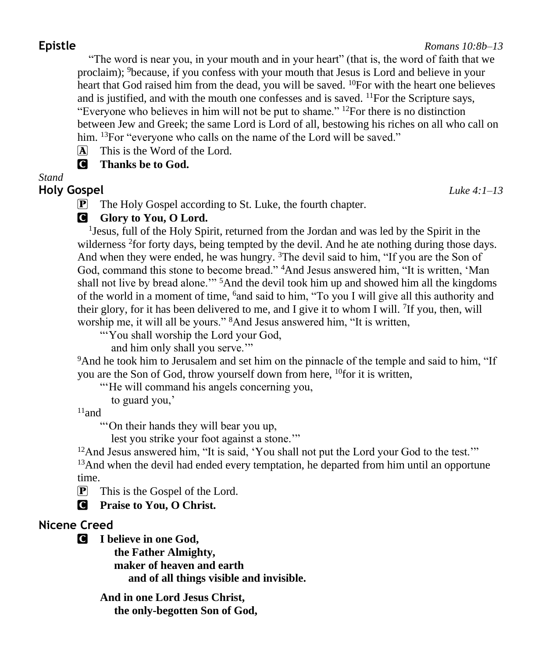"The word is near you, in your mouth and in your heart" (that is, the word of faith that we proclaim); <sup>9</sup>because, if you confess with your mouth that Jesus is Lord and believe in your heart that God raised him from the dead, you will be saved.  $^{10}$ For with the heart one believes and is justified, and with the mouth one confesses and is saved.  $^{11}$ For the Scripture says, "Everyone who believes in him will not be put to shame."  $^{12}$ For there is no distinction between Jew and Greek; the same Lord is Lord of all, bestowing his riches on all who call on him. <sup>13</sup>For "everyone who calls on the name of the Lord will be saved."

A This is the Word of the Lord.

C **Thanks be to God.**

*Stand*

## **Holy Gospel** *Luke 4:1–13*

P The Holy Gospel according to St. Luke, the fourth chapter.

## **G** Glory to You, O Lord.

<sup>1</sup> Jesus, full of the Holy Spirit, returned from the Jordan and was led by the Spirit in the wilderness <sup>2</sup> for forty days, being tempted by the devil. And he ate nothing during those days. And when they were ended, he was hungry. <sup>3</sup>The devil said to him, "If you are the Son of God, command this stone to become bread." <sup>4</sup>And Jesus answered him, "It is written, 'Man shall not live by bread alone.'" <sup>5</sup>And the devil took him up and showed him all the kingdoms of the world in a moment of time, <sup>6</sup>and said to him, "To you I will give all this authority and their glory, for it has been delivered to me, and I give it to whom I will. <sup>7</sup>If you, then, will worship me, it will all be yours." <sup>8</sup>And Jesus answered him, "It is written,

"'You shall worship the Lord your God,

and him only shall you serve.'"

<sup>9</sup>And he took him to Jerusalem and set him on the pinnacle of the temple and said to him, "If you are the Son of God, throw yourself down from here, <sup>10</sup>for it is written,

"He will command his angels concerning you,

to guard you,'

 $^{11}$ and

"'On their hands they will bear you up,

lest you strike your foot against a stone.'"

<sup>12</sup>And Jesus answered him, "It is said, 'You shall not put the Lord your God to the test.'"

<sup>13</sup>And when the devil had ended every temptation, he departed from him until an opportune time.

 $\mathbf{P}$  This is the Gospel of the Lord.

C **Praise to You, O Christ.**

# **Nicene Creed**

C **I believe in one God,**

 **the Father Almighty, maker of heaven and earth and of all things visible and invisible.**

**And in one Lord Jesus Christ, the only-begotten Son of God,**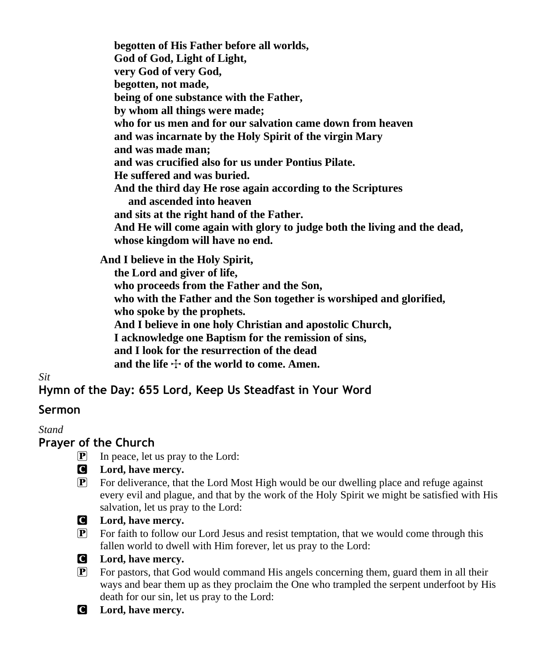**begotten of His Father before all worlds, God of God, Light of Light, very God of very God, begotten, not made, being of one substance with the Father, by whom all things were made; who for us men and for our salvation came down from heaven and was incarnate by the Holy Spirit of the virgin Mary and was made man; and was crucified also for us under Pontius Pilate. He suffered and was buried. And the third day He rose again according to the Scriptures and ascended into heaven and sits at the right hand of the Father. And He will come again with glory to judge both the living and the dead, whose kingdom will have no end.**

**And I believe in the Holy Spirit,**

 **the Lord and giver of life,**

 **who proceeds from the Father and the Son, who with the Father and the Son together is worshiped and glorified, who spoke by the prophets.**

 **And I believe in one holy Christian and apostolic Church,**

 **I acknowledge one Baptism for the remission of sins,**

 **and I look for the resurrection of the dead**

and the life  $\div$  of the world to come. Amen.

*Sit*

# **Hymn of the Day: 655 Lord, Keep Us Steadfast in Your Word**

## **Sermon**

*Stand*

## **Prayer of the Church**

- $\boxed{\mathbf{P}}$  In peace, let us pray to the Lord:
- C **Lord, have mercy.**
- $\boxed{\mathbf{P}}$  For deliverance, that the Lord Most High would be our dwelling place and refuge against every evil and plague, and that by the work of the Holy Spirit we might be satisfied with His salvation, let us pray to the Lord:
- 
- C **Lord, have mercy.**
- P For faith to follow our Lord Jesus and resist temptation, that we would come through this fallen world to dwell with Him forever, let us pray to the Lord:



- P For pastors, that God would command His angels concerning them, guard them in all their ways and bear them up as they proclaim the One who trampled the serpent underfoot by His death for our sin, let us pray to the Lord:
- C **Lord, have mercy.**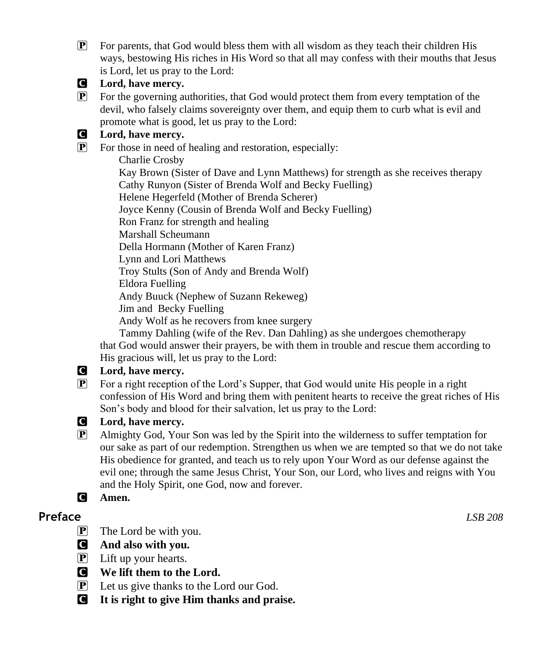$\mathbb{P}$  For parents, that God would bless them with all wisdom as they teach their children His ways, bestowing His riches in His Word so that all may confess with their mouths that Jesus is Lord, let us pray to the Lord:



#### C **Lord, have mercy.**

 $\mathbb{P}$  For the governing authorities, that God would protect them from every temptation of the devil, who falsely claims sovereignty over them, and equip them to curb what is evil and promote what is good, let us pray to the Lord:

#### C **Lord, have mercy.**

P For those in need of healing and restoration, especially: Charlie Crosby Kay Brown (Sister of Dave and Lynn Matthews) for strength as she receives therapy Cathy Runyon (Sister of Brenda Wolf and Becky Fuelling) Helene Hegerfeld (Mother of Brenda Scherer) Joyce Kenny (Cousin of Brenda Wolf and Becky Fuelling) Ron Franz for strength and healing Marshall Scheumann Della Hormann (Mother of Karen Franz) Lynn and Lori Matthews Troy Stults (Son of Andy and Brenda Wolf) Eldora Fuelling Andy Buuck (Nephew of Suzann Rekeweg) Jim and Becky Fuelling Andy Wolf as he recovers from knee surgery

 Tammy Dahling (wife of the Rev. Dan Dahling) as she undergoes chemotherapy that God would answer their prayers, be with them in trouble and rescue them according to His gracious will, let us pray to the Lord:

#### C **Lord, have mercy.**

P For a right reception of the Lord's Supper, that God would unite His people in a right confession of His Word and bring them with penitent hearts to receive the great riches of His Son's body and blood for their salvation, let us pray to the Lord:



#### C **Lord, have mercy.**

- P Almighty God, Your Son was led by the Spirit into the wilderness to suffer temptation for our sake as part of our redemption. Strengthen us when we are tempted so that we do not take His obedience for granted, and teach us to rely upon Your Word as our defense against the evil one; through the same Jesus Christ, Your Son, our Lord, who lives and reigns with You and the Holy Spirit, one God, now and forever.
- C **Amen.**

## **Preface** *LSB 208*

- $\mathbf{P}$  The Lord be with you.
- C **And also with you.**
- $\boxed{\mathbf{P}}$  Lift up your hearts.
- C **We lift them to the Lord.**
- P Let us give thanks to the Lord our God.
- C **It is right to give Him thanks and praise.**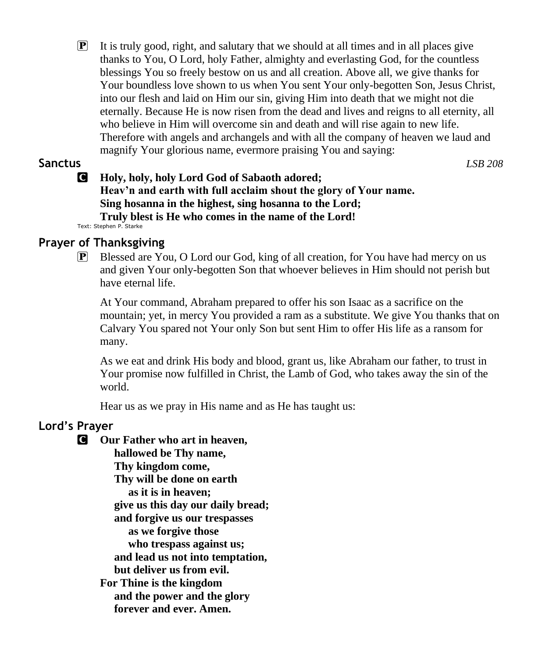$\mathbf{P}$  It is truly good, right, and salutary that we should at all times and in all places give thanks to You, O Lord, holy Father, almighty and everlasting God, for the countless blessings You so freely bestow on us and all creation. Above all, we give thanks for Your boundless love shown to us when You sent Your only-begotten Son, Jesus Christ, into our flesh and laid on Him our sin, giving Him into death that we might not die eternally. Because He is now risen from the dead and lives and reigns to all eternity, all who believe in Him will overcome sin and death and will rise again to new life. Therefore with angels and archangels and with all the company of heaven we laud and magnify Your glorious name, evermore praising You and saying:

#### **Sanctus** *LSB 208*

#### C **Holy, holy, holy Lord God of Sabaoth adored; Heav'n and earth with full acclaim shout the glory of Your name. Sing hosanna in the highest, sing hosanna to the Lord; Truly blest is He who comes in the name of the Lord!** Text: Stephen P. Starke

# **Prayer of Thanksgiving**

 $\mathbb{P}$  Blessed are You, O Lord our God, king of all creation, for You have had mercy on us and given Your only-begotten Son that whoever believes in Him should not perish but have eternal life.

At Your command, Abraham prepared to offer his son Isaac as a sacrifice on the mountain; yet, in mercy You provided a ram as a substitute. We give You thanks that on Calvary You spared not Your only Son but sent Him to offer His life as a ransom for many.

As we eat and drink His body and blood, grant us, like Abraham our father, to trust in Your promise now fulfilled in Christ, the Lamb of God, who takes away the sin of the world.

Hear us as we pray in His name and as He has taught us:

## **Lord's Prayer**

- C **Our Father who art in heaven,**
	- **hallowed be Thy name, Thy kingdom come, Thy will be done on earth as it is in heaven; give us this day our daily bread; and forgive us our trespasses as we forgive those who trespass against us; and lead us not into temptation, but deliver us from evil. For Thine is the kingdom and the power and the glory forever and ever. Amen.**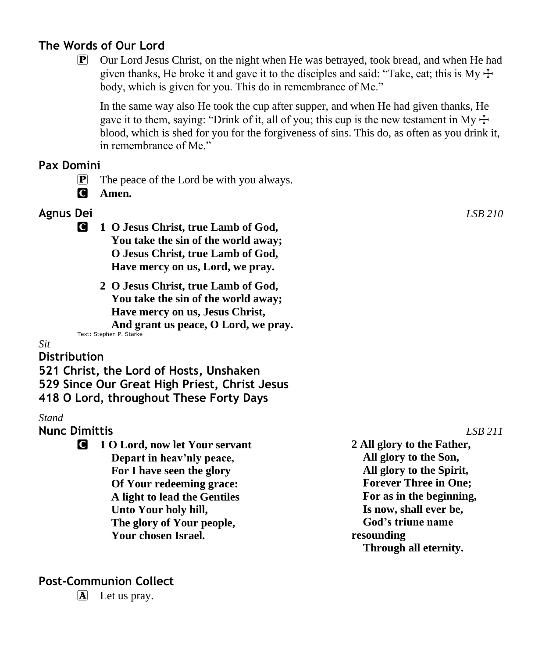## **The Words of Our Lord**

 $\boxed{\mathbf{P}}$  Our Lord Jesus Christ, on the night when He was betrayed, took bread, and when He had given thanks, He broke it and gave it to the disciples and said: "Take, eat; this is My  $\pm$ body, which is given for you. This do in remembrance of Me."

In the same way also He took the cup after supper, and when He had given thanks, He gave it to them, saying: "Drink of it, all of you; this cup is the new testament in My  $\pm$ blood, which is shed for you for the forgiveness of sins. This do, as often as you drink it, in remembrance of Me."

## **Pax Domini**

 $\mathbf{P}$  The peace of the Lord be with you always.

C **Amen.**

## **Agnus Dei** *LSB 210*

- C **1 O Jesus Christ, true Lamb of God, You take the sin of the world away; O Jesus Christ, true Lamb of God, Have mercy on us, Lord, we pray.**
	- **2 O Jesus Christ, true Lamb of God, You take the sin of the world away; Have mercy on us, Jesus Christ, And grant us peace, O Lord, we pray.**

Text: Stephen P. Starke

#### *Sit*

#### **Distribution**

**521 Christ, the Lord of Hosts, Unshaken 529 Since Our Great High Priest, Christ Jesus 418 O Lord, throughout These Forty Days**

#### *Stand*

#### **Nunc Dimittis** *LSB 211*

C **1 O Lord, now let Your servant Depart in heav'nly peace, For I have seen the glory Of Your redeeming grace: A light to lead the Gentiles Unto Your holy hill, The glory of Your people, Your chosen Israel. 2 All glory to the Father, All glory to the Son, All glory to the Spirit, Forever Three in One; For as in the beginning, Is now, shall ever be, God's triune name resounding Through all eternity.**

## **Post-Communion Collect**

 $\mathbf{\overline{A}}$  Let us pray.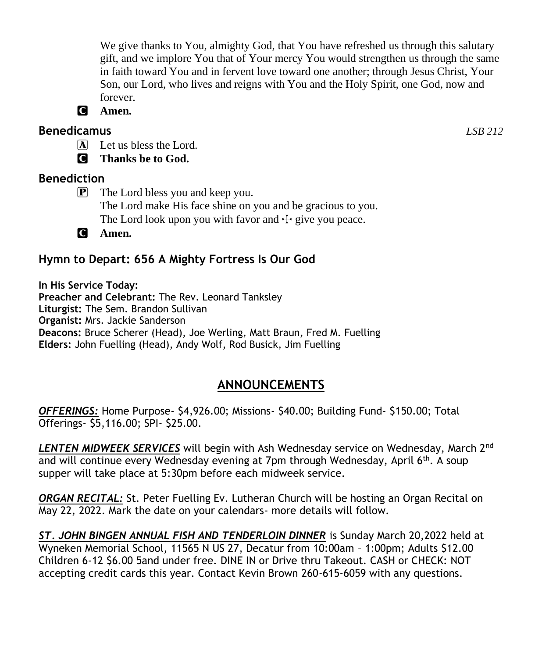We give thanks to You, almighty God, that You have refreshed us through this salutary gift, and we implore You that of Your mercy You would strengthen us through the same in faith toward You and in fervent love toward one another; through Jesus Christ, Your Son, our Lord, who lives and reigns with You and the Holy Spirit, one God, now and forever.

C **Amen.**

## **Benedicamus** *LSB 212*

A Let us bless the Lord.

C **Thanks be to God.**

## **Benediction**

P The Lord bless you and keep you. The Lord make His face shine on you and be gracious to you. The Lord look upon you with favor and  $\pm$  give you peace.

C **Amen.**

# **Hymn to Depart: 656 A Mighty Fortress Is Our God**

**In His Service Today: Preacher and Celebrant:** The Rev. Leonard Tanksley **Liturgist:** The Sem. Brandon Sullivan **Organist:** Mrs. Jackie Sanderson **Deacons:** Bruce Scherer (Head), Joe Werling, Matt Braun, Fred M. Fuelling **Elders:** John Fuelling (Head), Andy Wolf, Rod Busick, Jim Fuelling

# **ANNOUNCEMENTS**

*OFFERINGS:* Home Purpose- \$4,926.00; Missions- \$40.00; Building Fund- \$150.00; Total Offerings- \$5,116.00; SPI- \$25.00.

*LENTEN MIDWEEK SERVICES* will begin with Ash Wednesday service on Wednesday, March 2nd and will continue every Wednesday evening at 7pm through Wednesday, April  $6<sup>th</sup>$ . A soup supper will take place at 5:30pm before each midweek service.

*ORGAN RECITAL:* St. Peter Fuelling Ev. Lutheran Church will be hosting an Organ Recital on May 22, 2022. Mark the date on your calendars- more details will follow.

*ST. JOHN BINGEN ANNUAL FISH AND TENDERLOIN DINNER* is Sunday March 20,2022 held at Wyneken Memorial School, 11565 N US 27, Decatur from 10:00am – 1:00pm; Adults \$12.00 Children 6-12 \$6.00 5and under free. DINE IN or Drive thru Takeout. CASH or CHECK: NOT accepting credit cards this year. Contact Kevin Brown 260-615-6059 with any questions.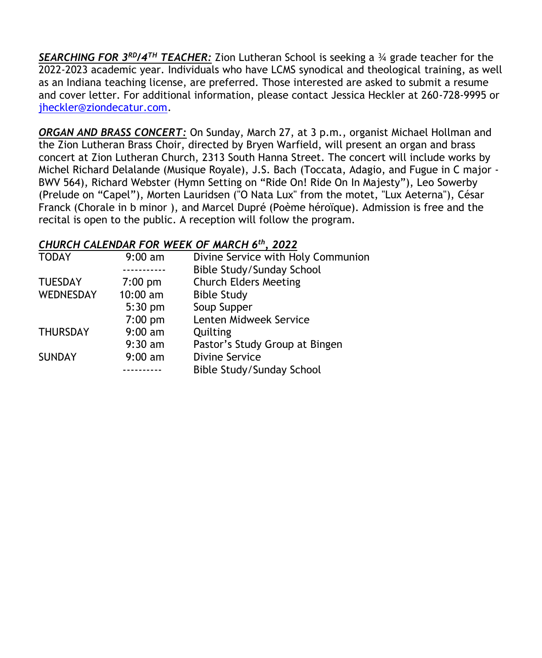*SEARCHING FOR 3 RD/4TH TEACHER:* Zion Lutheran School is seeking a ¾ grade teacher for the 2022-2023 academic year. Individuals who have LCMS synodical and theological training, as well as an Indiana teaching license, are preferred. Those interested are asked to submit a resume and cover letter. For additional information, please contact Jessica Heckler at 260-728-9995 or [jheckler@ziondecatur.com.](mailto:jheckler@ziondecatur.com)

*ORGAN AND BRASS CONCERT:* On Sunday, March 27, at 3 p.m., organist Michael Hollman and the Zion Lutheran Brass Choir, directed by Bryen Warfield, will present an organ and brass concert at Zion Lutheran Church, 2313 South Hanna Street. The concert will include works by Michel Richard Delalande (Musique Royale), J.S. Bach (Toccata, Adagio, and Fugue in C major - BWV 564), Richard Webster (Hymn Setting on "Ride On! Ride On In Majesty"), Leo Sowerby (Prelude on "Capel"), Morten Lauridsen ("O Nata Lux" from the motet, "Lux Aeterna"), César Franck (Chorale in b minor ), and Marcel Dupré (Poème héroïque). Admission is free and the recital is open to the public. A reception will follow the program.

## *CHURCH CALENDAR FOR WEEK OF MARCH 6 th, 2022*

| <b>TODAY</b>    | $9:00$ am | Divine Service with Holy Communion |
|-----------------|-----------|------------------------------------|
|                 |           | Bible Study/Sunday School          |
| <b>TUESDAY</b>  | $7:00$ pm | <b>Church Elders Meeting</b>       |
| WEDNESDAY       | 10:00 am  | <b>Bible Study</b>                 |
|                 | $5:30$ pm | Soup Supper                        |
|                 | $7:00$ pm | Lenten Midweek Service             |
| <b>THURSDAY</b> | $9:00$ am | Quilting                           |
|                 | $9:30$ am | Pastor's Study Group at Bingen     |
| <b>SUNDAY</b>   | $9:00$ am | <b>Divine Service</b>              |
|                 |           | Bible Study/Sunday School          |